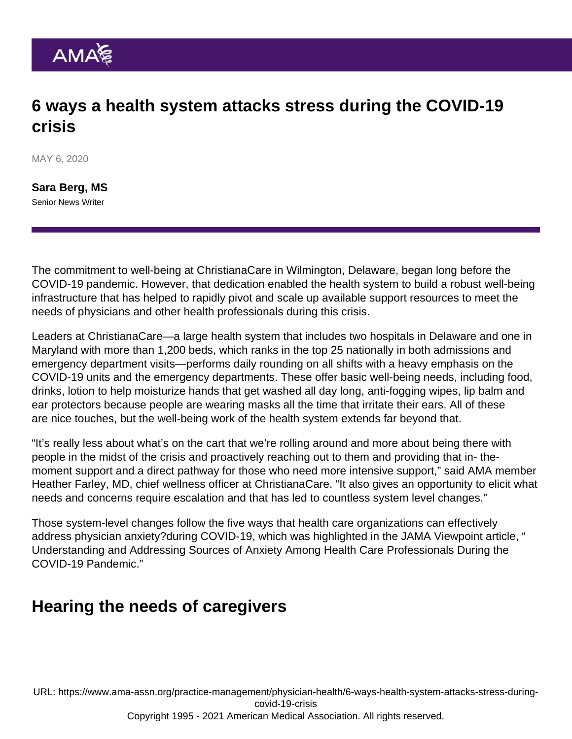# 6 ways a health system attacks stress during the COVID-19 crisis

MAY 6, 2020

[Sara Berg, MS](https://www.ama-assn.org/news-leadership-viewpoints/authors-news-leadership-viewpoints/sara-berg-ms) Senior News Writer

The commitment to well-being at ChristianaCare in Wilmington, Delaware, began long before the COVID-19 pandemic. However, that dedication enabled the health system to build a robust well-being infrastructure that has helped to rapidly pivot and scale up available support resources to meet the needs of physicians and other health professionals during this crisis.

Leaders at ChristianaCare—a large health system that includes two hospitals in Delaware and one in Maryland with more than 1,200 beds, which ranks in the top 25 nationally in both admissions and emergency department visits—performs daily rounding on all shifts with a heavy emphasis on the COVID-19 units and the emergency departments. These offer basic well-being needs, including food, drinks, lotion to help moisturize hands that get washed all day long, anti-fogging wipes, lip balm and ear protectors because people are wearing masks all the time that irritate their ears. All of these are nice touches, but the well-being work of the health system extends far beyond that.

"It's really less about what's on the cart that we're rolling around and more about being there with people in the midst of the crisis and proactively reaching out to them and providing that in- themoment support and a direct pathway for those who need more intensive support," said AMA member Heather Farley, MD, chief wellness officer at ChristianaCare. "It also gives an opportunity to elicit what needs and concerns require escalation and that has led to countless system level changes."

Those system-level changes follow the five ways that health care organizations can [effectively](https://www.ama-assn.org/practice-management/physician-health/5-ways-organizations-can-effectively-address-physician-anxiety) [address physician anxiety](https://www.ama-assn.org/practice-management/physician-health/5-ways-organizations-can-effectively-address-physician-anxiety)?during COVID-19, which was highlighted in the JAMA Viewpoint article, " [Understanding and Addressing Sources of Anxiety Among Health Care Professionals During the](https://jamanetwork.com/journals/jama/fullarticle/2764380) [COVID-19 Pandemic](https://jamanetwork.com/journals/jama/fullarticle/2764380)."

#### Hearing the needs of caregivers

URL: [https://www.ama-assn.org/practice-management/physician-health/6-ways-health-system-attacks-stress-during](https://www.ama-assn.org/practice-management/physician-health/6-ways-health-system-attacks-stress-during-covid-19-crisis)[covid-19-crisis](https://www.ama-assn.org/practice-management/physician-health/6-ways-health-system-attacks-stress-during-covid-19-crisis)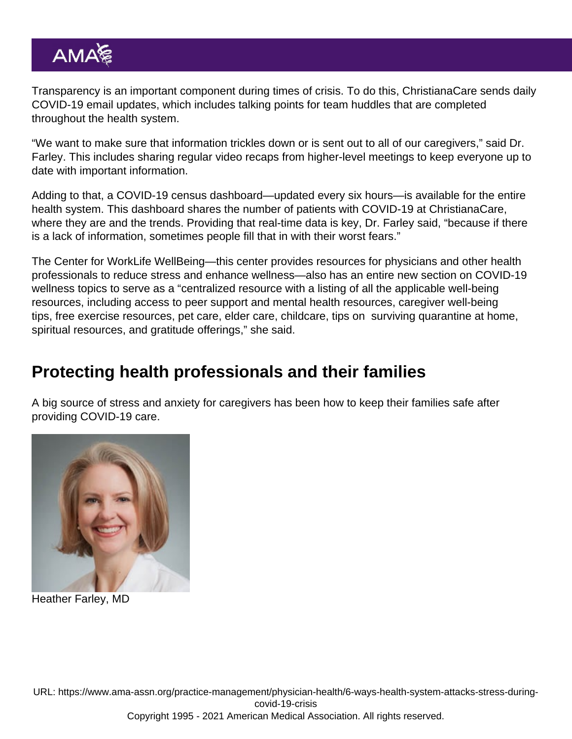Transparency is an important component during times of crisis. To do this, ChristianaCare sends daily COVID-19 email updates, which includes talking points for team huddles that are completed throughout the health system.

"We want to make sure that information trickles down or is sent out to all of our caregivers," said Dr. Farley. This includes sharing regular video recaps from higher-level meetings to keep everyone up to date with important information.

Adding to that, a COVID-19 census dashboard—updated every six hours—is available for the entire health system. This dashboard shares the number of patients with COVID-19 at ChristianaCare, where they are and the trends. Providing that real-time data is key, Dr. Farley said, "because if there is a lack of information, sometimes people fill that in with their worst fears."

The Center for WorkLife WellBeing—this center provides resources for physicians and other health professionals to reduce stress and enhance wellness—also has an entire new section on COVID-19 wellness topics to serve as a "centralized resource with a listing of all the applicable well-being resources, including access to peer support and mental health resources, caregiver well-being tips, free exercise resources, pet care, elder care, childcare, tips on surviving quarantine at home, spiritual resources, and gratitude offerings," she said.

### Protecting health professionals and their families

A big source of stress and anxiety for caregivers has been [how to keep their families safe after](https://www.ama-assn.org/practice-management/physician-health/how-doctors-can-keep-their-families-safe-after-providing-covid) [providing COVID-19 care](https://www.ama-assn.org/practice-management/physician-health/how-doctors-can-keep-their-families-safe-after-providing-covid).

Heather Farley, MD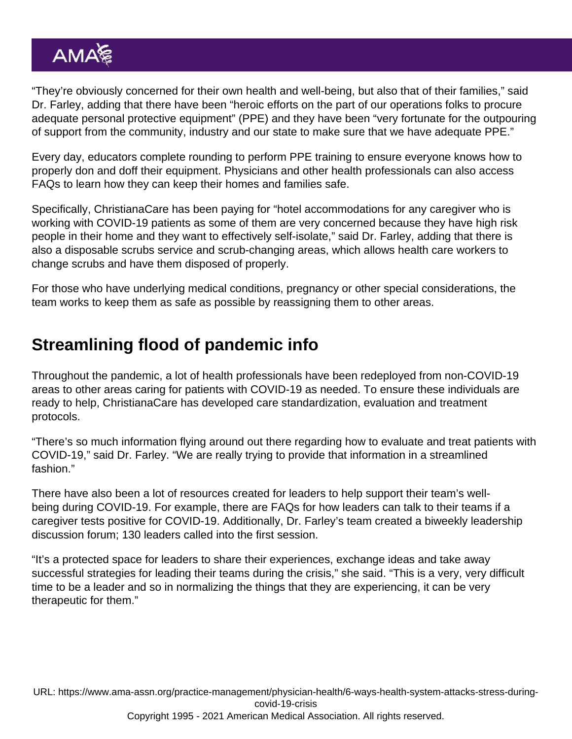"They're obviously concerned for their own health and well-being, but also that of their families," said Dr. Farley, adding that there have been "heroic efforts on the part of our operations folks to procure adequate personal protective equipment" (PPE) and they have been "very fortunate for the outpouring of support from the community, industry and our state to make sure that we have adequate PPE."

Every day, educators complete rounding to perform PPE training to ensure everyone knows how to properly don and doff their equipment. Physicians and other health professionals can also access FAQs to learn how they can keep their homes and families safe.

Specifically, ChristianaCare has been paying for "hotel accommodations for any caregiver who is working with COVID-19 patients as some of them are very concerned because they have high risk people in their home and they want to effectively self-isolate," said Dr. Farley, adding that there is also a disposable scrubs service and scrub-changing areas, which allows health care workers to change scrubs and have them disposed of properly.

For those who have underlying medical conditions, pregnancy or other special considerations, the team works to keep them as safe as possible by reassigning them to other areas.

### Streamlining flood of pandemic info

Throughout the pandemic, a lot of health professionals have been redeployed from non-COVID-19 areas to other areas caring for patients with COVID-19 as needed. To ensure these individuals are ready to help, ChristianaCare has developed care standardization, evaluation and treatment protocols.

"There's so much information flying around out there regarding how to evaluate and treat patients with COVID-19," said Dr. Farley. "We are really trying to provide that information in a streamlined fashion."

There have also been a lot of resources created for leaders to help support their team's wellbeing during COVID-19. For example, there are FAQs for how leaders can talk to their teams if a caregiver tests positive for COVID-19. Additionally, Dr. Farley's team created a biweekly leadership discussion forum; 130 leaders called into the first session.

"It's a protected space for leaders to share their experiences, exchange ideas and take away successful strategies for leading their teams during the crisis," she said. "This is a very, very difficult time to be a leader and so in normalizing the things that they are experiencing, it can be very therapeutic for them."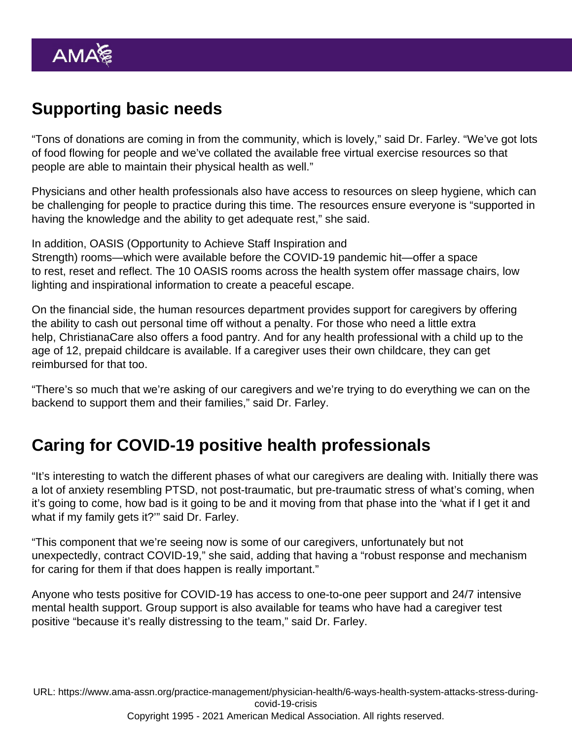# Supporting basic needs

"Tons of donations are coming in from the community, which is lovely," said Dr. Farley. "We've got lots of food flowing for people and we've collated the available free virtual exercise resources so that people are able to maintain their physical health as well."

Physicians and other health professionals also have access to resources on sleep hygiene, which can be challenging for people to practice during this time. The resources ensure everyone is "supported in having the knowledge and the ability to get adequate rest," she said.

In addition, OASIS (Opportunity to Achieve Staff Inspiration and Strength) rooms—which were available before the COVID-19 pandemic hit—offer a space to rest, reset and reflect. The 10 OASIS rooms across the health system offer massage chairs, low lighting and inspirational information to create a peaceful escape.

On the financial side, the human resources department provides support for caregivers by offering the ability to cash out personal time off without a penalty. For those who need a little extra help, ChristianaCare also offers a food pantry. And for any health professional with a child up to the age of 12, prepaid childcare is available. If a caregiver uses their own childcare, they can get reimbursed for that too.

"There's so much that we're asking of our caregivers and we're trying to do everything we can on the backend to support them and their families," said Dr. Farley.

### Caring for COVID-19 positive health professionals

"It's interesting to watch the different phases of what our caregivers are dealing with. Initially there was a lot of anxiety resembling PTSD, not post-traumatic, but pre-traumatic stress of what's coming, when it's going to come, how bad is it going to be and it moving from that phase into the 'what if I get it and what if my family gets it?'" said Dr. Farley.

"This component that we're seeing now is some of our caregivers, unfortunately but not unexpectedly, contract COVID-19," she said, adding that having a "robust response and mechanism for caring for them if that does happen is really important."

Anyone who tests positive for COVID-19 has access to one-to-one peer support and 24/7 intensive mental health support. Group support is also available for teams who have had a caregiver test positive "because it's really distressing to the team," said Dr. Farley.